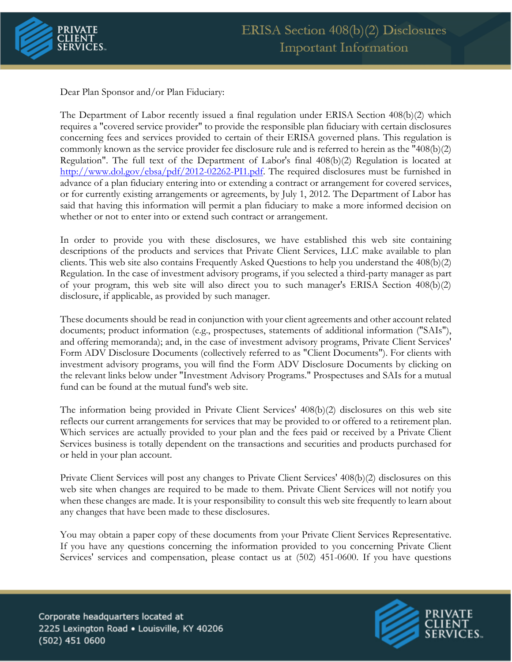

Dear Plan Sponsor and/or Plan Fiduciary:

The Department of Labor recently issued a final regulation under ERISA Section 408(b)(2) which requires a "covered service provider" to provide the responsible plan fiduciary with certain disclosures concerning fees and services provided to certain of their ERISA governed plans. This regulation is commonly known as the service provider fee disclosure rule and is referred to herein as the "408(b)(2) Regulation". The full text of the Department of Labor's final 408(b)(2) Regulation is located at [http://www.dol.gov/ebsa/pdf/2012-02262-PI1.pdf.](http://www.dol.gov/ebsa/pdf/2012-02262-PI1.pdf) The required disclosures must be furnished in advance of a plan fiduciary entering into or extending a contract or arrangement for covered services, or for currently existing arrangements or agreements, by July 1, 2012. The Department of Labor has said that having this information will permit a plan fiduciary to make a more informed decision on whether or not to enter into or extend such contract or arrangement.

In order to provide you with these disclosures, we have established this web site containing descriptions of the products and services that Private Client Services, LLC make available to plan clients. This web site also contains Frequently Asked Questions to help you understand the 408(b)(2) Regulation. In the case of investment advisory programs, if you selected a third-party manager as part of your program, this web site will also direct you to such manager's ERISA Section 408(b)(2) disclosure, if applicable, as provided by such manager.

These documents should be read in conjunction with your client agreements and other account related documents; product information (e.g., prospectuses, statements of additional information ("SAIs"), and offering memoranda); and, in the case of investment advisory programs, Private Client Services' Form ADV Disclosure Documents (collectively referred to as "Client Documents"). For clients with investment advisory programs, you will find the Form ADV Disclosure Documents by clicking on the relevant links below under "Investment Advisory Programs." Prospectuses and SAIs for a mutual fund can be found at the mutual fund's web site.

The information being provided in Private Client Services' 408(b)(2) disclosures on this web site reflects our current arrangements for services that may be provided to or offered to a retirement plan. Which services are actually provided to your plan and the fees paid or received by a Private Client Services business is totally dependent on the transactions and securities and products purchased for or held in your plan account.

Private Client Services will post any changes to Private Client Services' 408(b)(2) disclosures on this web site when changes are required to be made to them. Private Client Services will not notify you when these changes are made. It is your responsibility to consult this web site frequently to learn about any changes that have been made to these disclosures.

You may obtain a paper copy of these documents from your Private Client Services Representative. If you have any questions concerning the information provided to you concerning Private Client Services' services and compensation, please contact us at (502) 451-0600. If you have questions